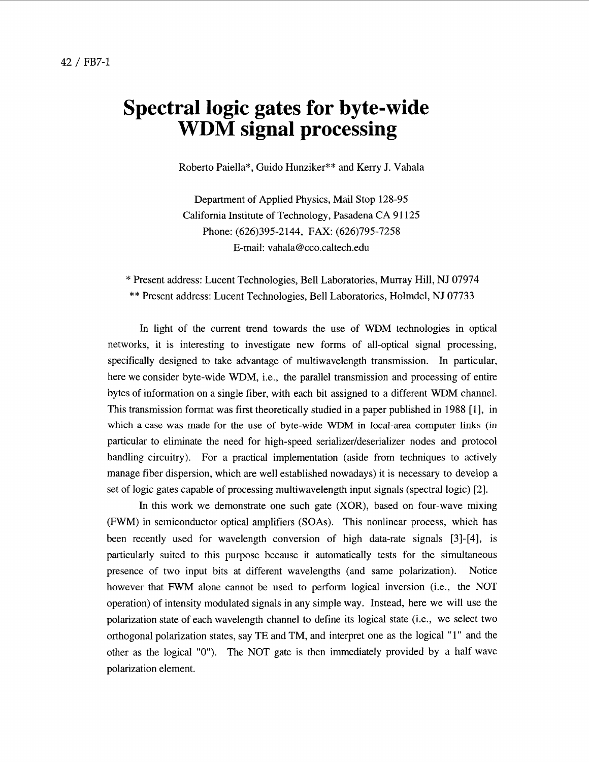## **Spectral logic gates for byte-wide WDM signal processing**

Roberto Paiella", Guido Hunziker\*\* and Kerry J. Vahala

Department of Applied Physics, Mail Stop 128-95 California Institute of Technology, Pasadena CA 91 125 Phone: (626)395-2 144, **FAX:** (626)795-7258 E-mail: [vahala@cco.caltech.edu](mailto:vahala@cco.caltech.edu)

\* Present address: Lucent Technologies, Bell Laboratories, Murray Hill, NJ 07974 \*\* Present address: Lucent Technologies, Bell Laboratories, Holmdel, NJ 07733

In light of the current trend towards the use of WDM technologies in optical networks, it is interesting to investigate new forms of all-optical signal processing, specifically designed to take advantage of multiwavelength transmission. In particular, here we consider byte-wide WDM, i.e., the parallel transmission and processing of entire bytes of information on a single fiber, with each bit assigned to a different WDM channel. This transmission format was first theoretically studied in a paper published in 1988 [1], in which a case was made for the use of byte-wide WDM **in** local-area computer links (in particular to eliminate the need for high-speed serializer/deserializer nodes and protocol handling circuitry). For a practical implementation (aside from techniques to actively manage fiber dispersion, which are well established nowadays) it is necessary to develop a set of logic gates capable of processing multiwavelength input signals (spectral logic) [2].

In this work we demonstrate one such gate (XOR), based on four-wave mixing (FWM) in semiconductor optical amplifiers (SOAs). This nonlinear process, which has been recently used for wavelength conversion of high data-rate signals [3]-[4], is particularly suited to this purpose because it automatically tests for the simultaneous presence of two input bits at different wavelengths (and same polarization). Notice however that FWM alone cannot be used to perform logical inversion (i.e., the NOT operation) of intensity modulated signals in any simple way. Instead, here we will use the polarization state of each wavelength channel to define its logical state (i.e., we select two orthogonal polarization states, say TE and TM, and interpret one as the logical "1" and the other as the logical "0"). The NOT gate is then immediately provided by a half-wave polarization element.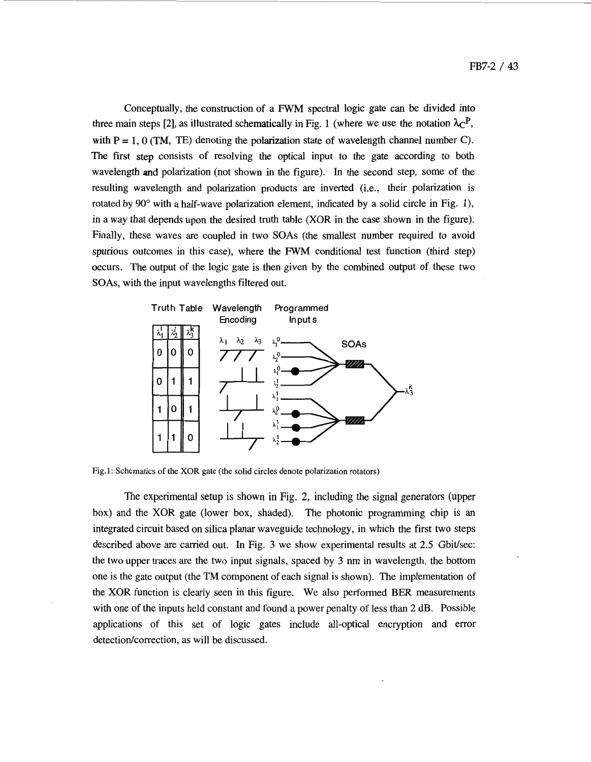Conceptually, the construction of a FWM spectral logic gate can be divided into three main steps [2], as illustrated schematically in Fig. 1 (where we use the notation  $\lambda_C$ <sup>P</sup>, with  $P = 1$ ,  $0$  (TM, TE) denoting the polarization state of wavelength channel number C). The first step consists of resolving the optical input to the gate according to both wavelength and polarization (not shown in the figure). In the second step, some of the resulting wavelength and polarization products are inverted (i.e., their polarization is rotated by  $90^{\circ}$  with a half-wave polarization element, indicated by a solid circle in Fig. 1), in a way that depends upon the desired truth table (XOR in the case shown in the figure). Finally, these waves are coupled in two **SOAs** (the smallest number required to avoid spurious outcomes in this case), where the **FWM** conditional test function (third step) occurs. The output of the logic gate is then given by the combined output of these two **SOAs,** with the input wavelengths filtered out.



Fig.1: Schematics **of** the XOR gate (the solid circles denote polarization rotators)

The experimental setup is shown in Fig. 2, including the signal generators (upper box) and the XOR gate (lower box, shaded). The photonic programming chip is **an**  integrated circuit based on silica planar waveguide technology, in which the first two steps described above are carried out. In Fig. 3 we show experimental results at 2.5 Gbit/sec: the two upper traces are the two input signals, spaced by **3** nm in wavelength, the bottom one is the gate output (the TM component of each signal is shown). The implementation of the XOR function is clearly seen in this figure. We also performed BER measurements with one of the inputs held constant and found a power penalty of less than 2 dB. Possible applications of this set of logic gates include all-optical encryption and error detection/correction, as will be discussed.